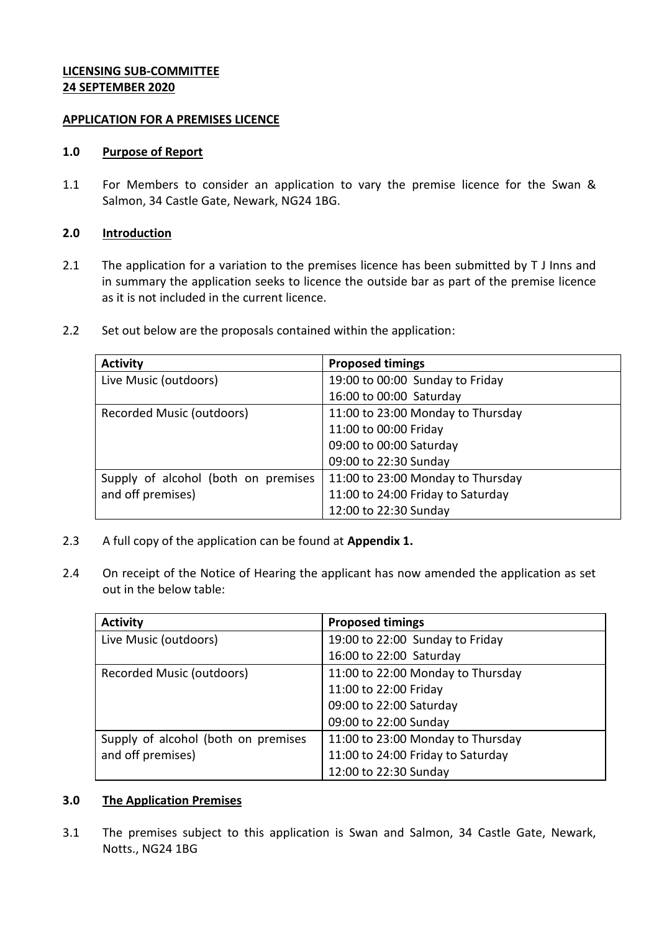# **LICENSING SUB-COMMITTEE 24 SEPTEMBER 2020**

#### **APPLICATION FOR A PREMISES LICENCE**

#### **1.0 Purpose of Report**

1.1 For Members to consider an application to vary the premise licence for the Swan & Salmon, 34 Castle Gate, Newark, NG24 1BG.

#### **2.0 Introduction**

- 2.1 The application for a variation to the premises licence has been submitted by T J Inns and in summary the application seeks to licence the outside bar as part of the premise licence as it is not included in the current licence.
- 2.2 Set out below are the proposals contained within the application:

| <b>Activity</b>                     | <b>Proposed timings</b>           |
|-------------------------------------|-----------------------------------|
| Live Music (outdoors)               | 19:00 to 00:00 Sunday to Friday   |
|                                     | 16:00 to 00:00 Saturday           |
| Recorded Music (outdoors)           | 11:00 to 23:00 Monday to Thursday |
|                                     | 11:00 to 00:00 Friday             |
|                                     | 09:00 to 00:00 Saturday           |
|                                     | 09:00 to 22:30 Sunday             |
| Supply of alcohol (both on premises | 11:00 to 23:00 Monday to Thursday |
| and off premises)                   | 11:00 to 24:00 Friday to Saturday |
|                                     | 12:00 to 22:30 Sunday             |

- 2.3 A full copy of the application can be found at **Appendix 1.**
- 2.4 On receipt of the Notice of Hearing the applicant has now amended the application as set out in the below table:

| <b>Activity</b>                     | <b>Proposed timings</b>           |
|-------------------------------------|-----------------------------------|
| Live Music (outdoors)               | 19:00 to 22:00 Sunday to Friday   |
|                                     | 16:00 to 22:00 Saturday           |
| Recorded Music (outdoors)           | 11:00 to 22:00 Monday to Thursday |
|                                     | 11:00 to 22:00 Friday             |
|                                     | 09:00 to 22:00 Saturday           |
|                                     | 09:00 to 22:00 Sunday             |
| Supply of alcohol (both on premises | 11:00 to 23:00 Monday to Thursday |
| and off premises)                   | 11:00 to 24:00 Friday to Saturday |
|                                     | 12:00 to 22:30 Sunday             |

#### **3.0 The Application Premises**

3.1 The premises subject to this application is Swan and Salmon, 34 Castle Gate, Newark, Notts., NG24 1BG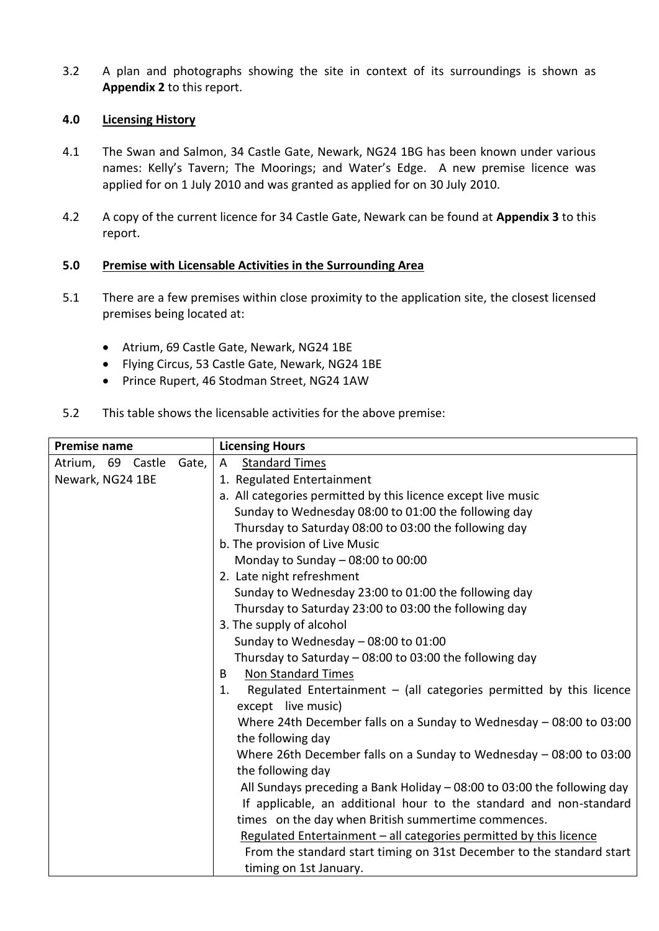3.2 A plan and photographs showing the site in context of its surroundings is shown as **Appendix 2** to this report.

# **4.0 Licensing History**

- 4.1 The Swan and Salmon, 34 Castle Gate, Newark, NG24 1BG has been known under various names: Kelly's Tavern; The Moorings; and Water's Edge. A new premise licence was applied for on 1 July 2010 and was granted as applied for on 30 July 2010.
- 4.2 A copy of the current licence for 34 Castle Gate, Newark can be found at **Appendix 3** to this report.

# **5.0 Premise with Licensable Activities in the Surrounding Area**

- 5.1 There are a few premises within close proximity to the application site, the closest licensed premises being located at:
	- Atrium, 69 Castle Gate, Newark, NG24 1BE
	- Flying Circus, 53 Castle Gate, Newark, NG24 1BE
	- Prince Rupert, 46 Stodman Street, NG24 1AW
- 5.2 This table shows the licensable activities for the above premise:

| <b>Premise name</b>        | <b>Licensing Hours</b>                                                      |
|----------------------------|-----------------------------------------------------------------------------|
| Gate,<br>Atrium, 69 Castle | <b>Standard Times</b><br>A                                                  |
| Newark, NG24 1BE           | 1. Regulated Entertainment                                                  |
|                            | a. All categories permitted by this licence except live music               |
|                            | Sunday to Wednesday 08:00 to 01:00 the following day                        |
|                            | Thursday to Saturday 08:00 to 03:00 the following day                       |
|                            | b. The provision of Live Music                                              |
|                            | Monday to Sunday $-$ 08:00 to 00:00                                         |
|                            | 2. Late night refreshment                                                   |
|                            | Sunday to Wednesday 23:00 to 01:00 the following day                        |
|                            | Thursday to Saturday 23:00 to 03:00 the following day                       |
|                            | 3. The supply of alcohol                                                    |
|                            | Sunday to Wednesday - 08:00 to 01:00                                        |
|                            | Thursday to Saturday - 08:00 to 03:00 the following day                     |
|                            | Non Standard Times<br>B                                                     |
|                            | Regulated Entertainment $-$ (all categories permitted by this licence<br>1. |
|                            | except live music)                                                          |
|                            | Where 24th December falls on a Sunday to Wednesday $-08:00$ to 03:00        |
|                            | the following day                                                           |
|                            | Where 26th December falls on a Sunday to Wednesday - 08:00 to 03:00         |
|                            | the following day                                                           |
|                            | All Sundays preceding a Bank Holiday - 08:00 to 03:00 the following day     |
|                            | If applicable, an additional hour to the standard and non-standard          |
|                            | times on the day when British summertime commences.                         |
|                            | Regulated Entertainment - all categories permitted by this licence          |
|                            | From the standard start timing on 31st December to the standard start       |
|                            | timing on 1st January.                                                      |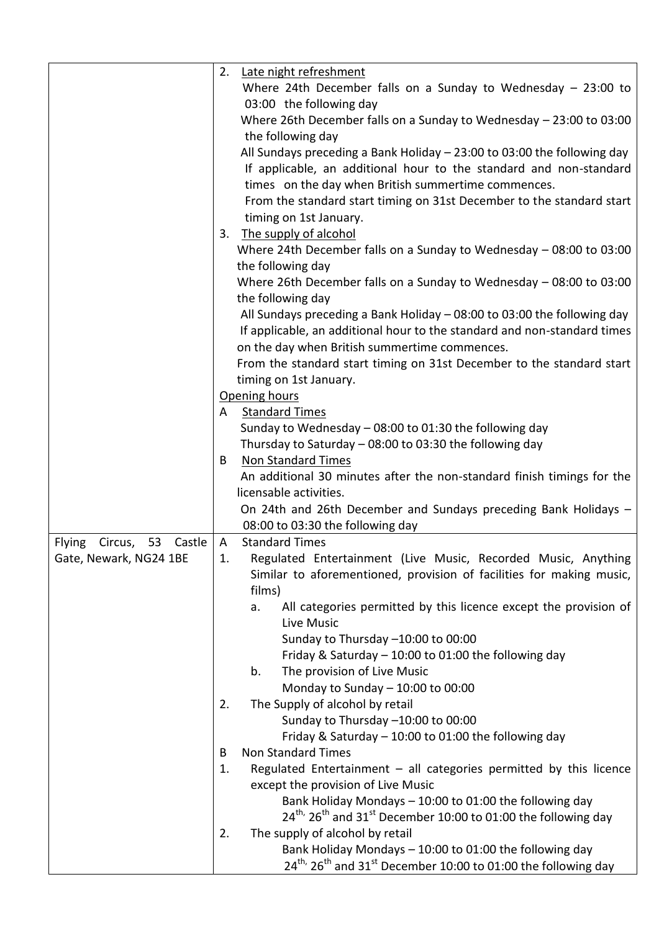|                                       | 2.           | Late night refreshment                                                                             |
|---------------------------------------|--------------|----------------------------------------------------------------------------------------------------|
|                                       |              | Where 24th December falls on a Sunday to Wednesday $-$ 23:00 to<br>03:00 the following day         |
|                                       |              | Where 26th December falls on a Sunday to Wednesday - 23:00 to 03:00                                |
|                                       |              | the following day                                                                                  |
|                                       |              | All Sundays preceding a Bank Holiday $-$ 23:00 to 03:00 the following day                          |
|                                       |              | If applicable, an additional hour to the standard and non-standard                                 |
|                                       |              | times on the day when British summertime commences.                                                |
|                                       |              | From the standard start timing on 31st December to the standard start                              |
|                                       |              | timing on 1st January.                                                                             |
|                                       | 3.           | The supply of alcohol                                                                              |
|                                       |              | Where 24th December falls on a Sunday to Wednesday $-$ 08:00 to 03:00                              |
|                                       |              | the following day                                                                                  |
|                                       |              | Where 26th December falls on a Sunday to Wednesday - 08:00 to 03:00                                |
|                                       |              | the following day                                                                                  |
|                                       |              | All Sundays preceding a Bank Holiday - 08:00 to 03:00 the following day                            |
|                                       |              | If applicable, an additional hour to the standard and non-standard times                           |
|                                       |              | on the day when British summertime commences.                                                      |
|                                       |              | From the standard start timing on 31st December to the standard start                              |
|                                       |              | timing on 1st January.                                                                             |
|                                       | A            | Opening hours<br><b>Standard Times</b>                                                             |
|                                       |              | Sunday to Wednesday $-$ 08:00 to 01:30 the following day                                           |
|                                       |              | Thursday to Saturday - 08:00 to 03:30 the following day                                            |
|                                       | B            | <b>Non Standard Times</b>                                                                          |
|                                       |              | An additional 30 minutes after the non-standard finish timings for the                             |
|                                       |              | licensable activities.                                                                             |
|                                       |              | On 24th and 26th December and Sundays preceding Bank Holidays -                                    |
|                                       |              | 08:00 to 03:30 the following day                                                                   |
| <b>Flying</b><br>53 Castle<br>Circus, | $\mathsf{A}$ | <b>Standard Times</b>                                                                              |
| Gate, Newark, NG24 1BE                | 1.           | Regulated Entertainment (Live Music, Recorded Music, Anything                                      |
|                                       |              | Similar to aforementioned, provision of facilities for making music,                               |
|                                       |              | films)                                                                                             |
|                                       |              | All categories permitted by this licence except the provision of<br>a.                             |
|                                       |              | Live Music<br>Sunday to Thursday -10:00 to 00:00                                                   |
|                                       |              | Friday & Saturday - 10:00 to 01:00 the following day                                               |
|                                       |              | The provision of Live Music<br>b.                                                                  |
|                                       |              | Monday to Sunday $-$ 10:00 to 00:00                                                                |
|                                       | 2.           | The Supply of alcohol by retail                                                                    |
|                                       |              | Sunday to Thursday -10:00 to 00:00                                                                 |
|                                       |              | Friday & Saturday $-10:00$ to 01:00 the following day                                              |
|                                       | B            | <b>Non Standard Times</b>                                                                          |
|                                       | 1.           | Regulated Entertainment $-$ all categories permitted by this licence                               |
|                                       |              | except the provision of Live Music                                                                 |
|                                       |              | Bank Holiday Mondays - 10:00 to 01:00 the following day                                            |
|                                       |              | $24^{th}$ , $26^{th}$ and $31^{st}$ December 10:00 to 01:00 the following day                      |
|                                       | 2.           | The supply of alcohol by retail                                                                    |
|                                       |              | Bank Holiday Mondays - 10:00 to 01:00 the following day                                            |
|                                       |              | $24^{\text{th}}$ , $26^{\text{th}}$ and $31^{\text{st}}$ December 10:00 to 01:00 the following day |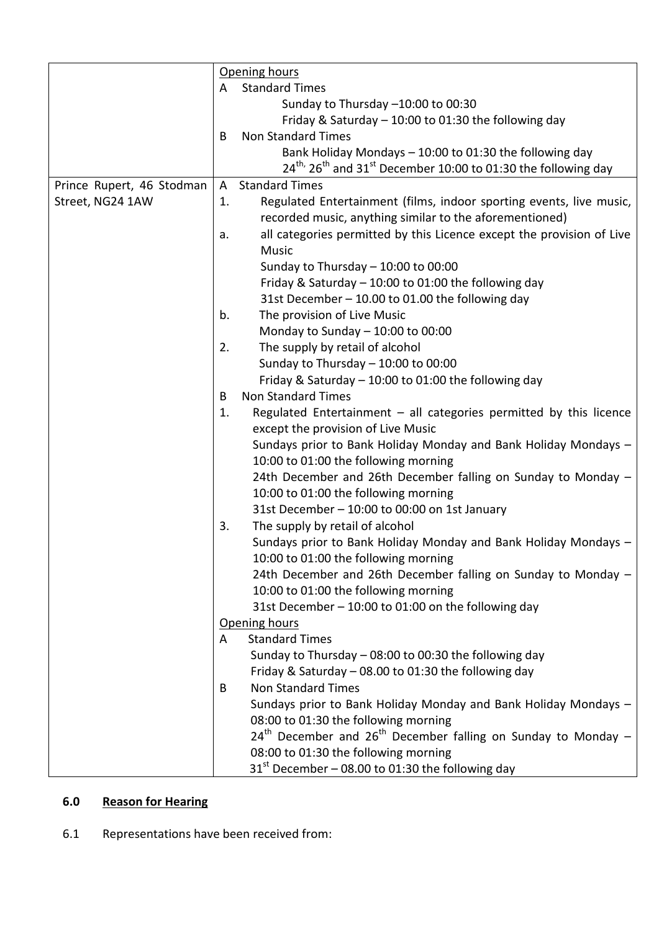|                           | Opening hours                               |                                                                                                       |
|---------------------------|---------------------------------------------|-------------------------------------------------------------------------------------------------------|
|                           | <b>Standard Times</b><br>A                  |                                                                                                       |
|                           |                                             | Sunday to Thursday -10:00 to 00:30                                                                    |
|                           |                                             | Friday & Saturday - 10:00 to 01:30 the following day                                                  |
|                           | B                                           | <b>Non Standard Times</b>                                                                             |
|                           |                                             | Bank Holiday Mondays - 10:00 to 01:30 the following day                                               |
|                           |                                             | $24^{\text{th}}$ , 26 <sup>th</sup> and 31 <sup>st</sup> December 10:00 to 01:30 the following day    |
| Prince Rupert, 46 Stodman | A                                           | <b>Standard Times</b>                                                                                 |
| Street, NG24 1AW          | 1.                                          | Regulated Entertainment (films, indoor sporting events, live music,                                   |
|                           |                                             | recorded music, anything similar to the aforementioned)                                               |
|                           | a.                                          | all categories permitted by this Licence except the provision of Live                                 |
|                           |                                             | <b>Music</b>                                                                                          |
|                           |                                             | Sunday to Thursday $-$ 10:00 to 00:00                                                                 |
|                           |                                             | Friday & Saturday - 10:00 to 01:00 the following day                                                  |
|                           |                                             | 31st December - 10.00 to 01.00 the following day                                                      |
|                           | b.                                          | The provision of Live Music                                                                           |
|                           |                                             | Monday to Sunday $-10:00$ to $00:00$                                                                  |
|                           | 2.                                          | The supply by retail of alcohol                                                                       |
|                           |                                             | Sunday to Thursday $-$ 10:00 to 00:00                                                                 |
|                           |                                             | Friday & Saturday - 10:00 to 01:00 the following day                                                  |
|                           | B                                           | <b>Non Standard Times</b>                                                                             |
|                           | 1.                                          | Regulated Entertainment $-$ all categories permitted by this licence                                  |
|                           |                                             | except the provision of Live Music                                                                    |
|                           |                                             | Sundays prior to Bank Holiday Monday and Bank Holiday Mondays -                                       |
|                           |                                             | 10:00 to 01:00 the following morning                                                                  |
|                           |                                             | 24th December and 26th December falling on Sunday to Monday -                                         |
|                           |                                             | 10:00 to 01:00 the following morning                                                                  |
|                           |                                             | 31st December - 10:00 to 00:00 on 1st January                                                         |
|                           | 3.                                          | The supply by retail of alcohol                                                                       |
|                           |                                             | Sundays prior to Bank Holiday Monday and Bank Holiday Mondays -                                       |
|                           |                                             | 10:00 to 01:00 the following morning<br>24th December and 26th December falling on Sunday to Monday - |
|                           |                                             | 10:00 to 01:00 the following morning                                                                  |
|                           |                                             | 31st December - 10:00 to 01:00 on the following day                                                   |
|                           | Opening hours<br><b>Standard Times</b><br>A |                                                                                                       |
|                           |                                             |                                                                                                       |
|                           |                                             | Sunday to Thursday - 08:00 to 00:30 the following day                                                 |
|                           |                                             | Friday & Saturday - 08.00 to 01:30 the following day                                                  |
|                           | B                                           | <b>Non Standard Times</b>                                                                             |
|                           |                                             | Sundays prior to Bank Holiday Monday and Bank Holiday Mondays -                                       |
|                           |                                             | 08:00 to 01:30 the following morning                                                                  |
|                           |                                             | $24th$ December and $26th$ December falling on Sunday to Monday –                                     |
|                           |                                             | 08:00 to 01:30 the following morning                                                                  |
|                           |                                             | $31st$ December – 08.00 to 01:30 the following day                                                    |

# **6.0 Reason for Hearing**

6.1 Representations have been received from: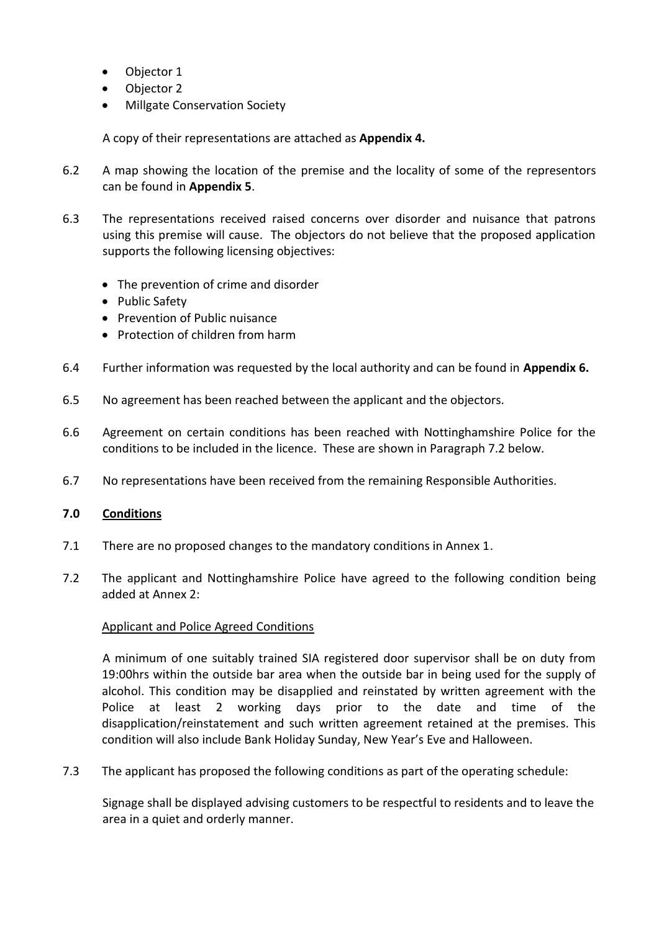- Objector 1
- Objector 2
- Millgate Conservation Society

A copy of their representations are attached as **Appendix 4.**

- 6.2 A map showing the location of the premise and the locality of some of the representors can be found in **Appendix 5**.
- 6.3 The representations received raised concerns over disorder and nuisance that patrons using this premise will cause. The objectors do not believe that the proposed application supports the following licensing objectives:
	- The prevention of crime and disorder
	- Public Safety
	- Prevention of Public nuisance
	- Protection of children from harm
- 6.4 Further information was requested by the local authority and can be found in **Appendix 6.**
- 6.5 No agreement has been reached between the applicant and the objectors.
- 6.6 Agreement on certain conditions has been reached with Nottinghamshire Police for the conditions to be included in the licence. These are shown in Paragraph 7.2 below.
- 6.7 No representations have been received from the remaining Responsible Authorities.

## **7.0 Conditions**

- 7.1 There are no proposed changes to the mandatory conditions in Annex 1.
- 7.2 The applicant and Nottinghamshire Police have agreed to the following condition being added at Annex 2:

## Applicant and Police Agreed Conditions

A minimum of one suitably trained SIA registered door supervisor shall be on duty from 19:00hrs within the outside bar area when the outside bar in being used for the supply of alcohol. This condition may be disapplied and reinstated by written agreement with the Police at least 2 working days prior to the date and time of the disapplication/reinstatement and such written agreement retained at the premises. This condition will also include Bank Holiday Sunday, New Year's Eve and Halloween.

7.3 The applicant has proposed the following conditions as part of the operating schedule:

Signage shall be displayed advising customers to be respectful to residents and to leave the area in a quiet and orderly manner.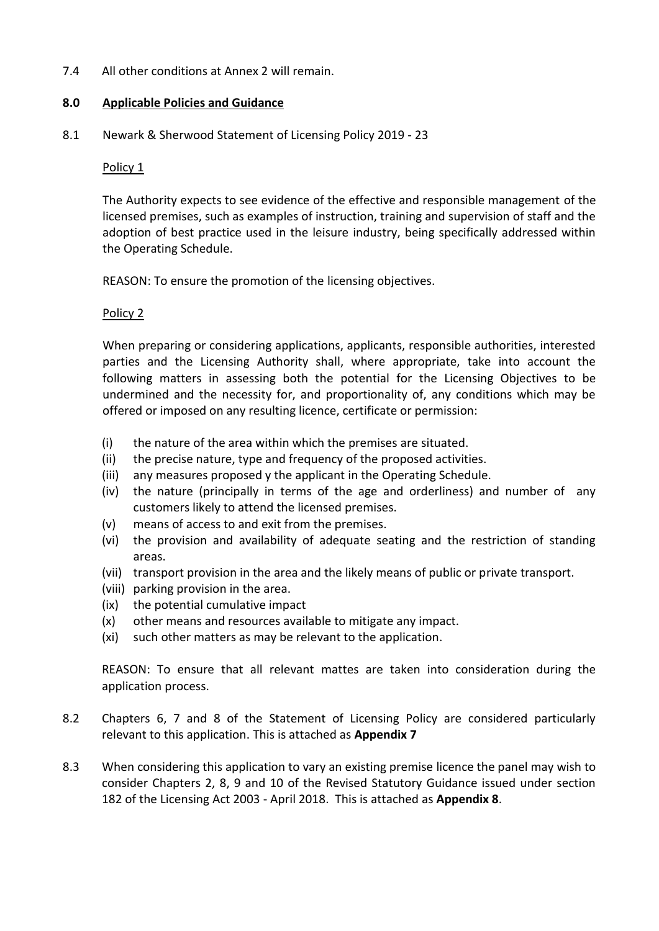7.4 All other conditions at Annex 2 will remain.

## **8.0 Applicable Policies and Guidance**

8.1 Newark & Sherwood Statement of Licensing Policy 2019 - 23

#### Policy 1

The Authority expects to see evidence of the effective and responsible management of the licensed premises, such as examples of instruction, training and supervision of staff and the adoption of best practice used in the leisure industry, being specifically addressed within the Operating Schedule.

REASON: To ensure the promotion of the licensing objectives.

#### Policy 2

When preparing or considering applications, applicants, responsible authorities, interested parties and the Licensing Authority shall, where appropriate, take into account the following matters in assessing both the potential for the Licensing Objectives to be undermined and the necessity for, and proportionality of, any conditions which may be offered or imposed on any resulting licence, certificate or permission:

- (i) the nature of the area within which the premises are situated.
- (ii) the precise nature, type and frequency of the proposed activities.
- (iii) any measures proposed y the applicant in the Operating Schedule.
- (iv) the nature (principally in terms of the age and orderliness) and number of any customers likely to attend the licensed premises.
- (v) means of access to and exit from the premises.
- (vi) the provision and availability of adequate seating and the restriction of standing areas.
- (vii) transport provision in the area and the likely means of public or private transport.
- (viii) parking provision in the area.
- (ix) the potential cumulative impact
- (x) other means and resources available to mitigate any impact.
- (xi) such other matters as may be relevant to the application.

REASON: To ensure that all relevant mattes are taken into consideration during the application process.

- 8.2 Chapters 6, 7 and 8 of the Statement of Licensing Policy are considered particularly relevant to this application. This is attached as **Appendix 7**
- 8.3 When considering this application to vary an existing premise licence the panel may wish to consider Chapters 2, 8, 9 and 10 of the Revised Statutory Guidance issued under section 182 of the Licensing Act 2003 - April 2018. This is attached as **Appendix 8**.